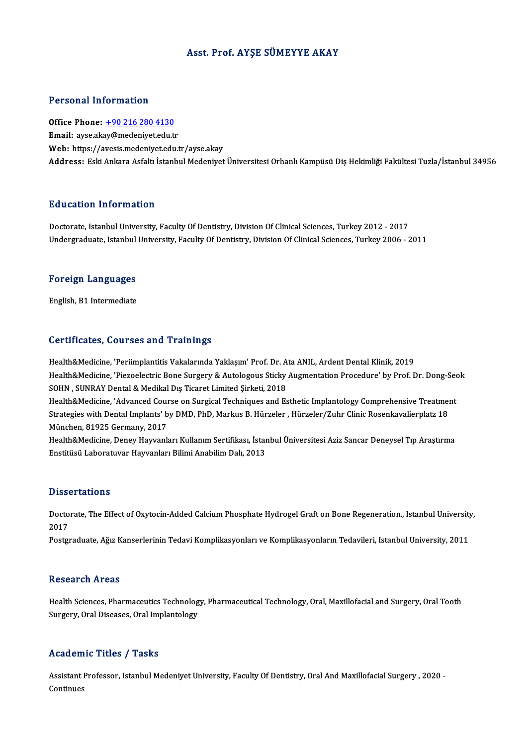### Asst. Prof. AYŞE SÜMEYYE AKAY

#### Personal Information

Office Phone: +90 216 280 4130 Email: ayse.ak[ay@medeniyet.edu.t](tel:+90 216 280 4130)r Web: https://avesis.medeniyet.edu.tr/ayse.akay Address: EskiAnkaraAsfaltı İstanbulMedeniyetÜniversitesiOrhanlıKampüsüDişHekimliğiFakültesiTuzla/İstanbul34956

#### Education Information

Doctorate, Istanbul University, Faculty Of Dentistry, Division Of Clinical Sciences, Turkey 2012 - 2017 Undergraduate, Istanbul University, Faculty Of Dentistry, Division Of Clinical Sciences, Turkey 2006 - 2011

## <sub>ondergraduate, istanbul</sub><br>Foreign Languages F<mark>oreign Languages</mark><br>English, B1 Intermediate

# English, B1 Intermediate<br>Certificates, Courses and Trainings

Certificates, Courses and Trainings<br>Health&Medicine, 'Periimplantitis Vakalarında Yaklaşım' Prof. Dr. Ata ANIL, Ardent Dental Klinik, 2019<br>Health&Medicine, 'Piereelestris Bone Sursery & Autoloseus Stisky Ausmentation Prese Health&Medicine, 'Piezoelectric Bone Surgery & Autologous Sticky Augmentation Procedure' by Prof. Dr. Dong-Seok<br>SOHN , SUNRAY Dental & Medikal Dış Ticaret Limited Şirketi, 2018 Health&Medicine, 'Periimplantitis Vakalarında Yaklaşım' Prof. Dr. A<br>Health&Medicine, 'Piezoelectric Bone Surgery & Autologous Sticky<br>SOHN , SUNRAY Dental & Medikal Dış Ticaret Limited Şirketi, 2018<br>Health&Medicine, 'Advanc Health&Medicine, 'Piezoelectric Bone Surgery & Autologous Sticky Augmentation Procedure' by Prof. Dr. Dong-Sec<br>SOHN , SUNRAY Dental & Medikal Dış Ticaret Limited Şirketi, 2018<br>Health&Medicine, 'Advanced Course on Surgical

SOHN , SUNRAY Dental & Medikal Dış Ticaret Limited Şirketi, 2018<br>Health&Medicine, 'Advanced Course on Surgical Techniques and Esthetic Implantology Comprehensive Treatmen<br>Strategies with Dental Implants' by DMD, PhD, Marku Health&Medicine, 'Advanced Cour<br>Strategies with Dental Implants' b<br>München, 81925 Germany, 2017<br>Health&Medicine, Deney Heyvenk Strategies with Dental Implants' by DMD, PhD, Markus B. Hürzeler , Hürzeler/Zuhr Clinic Rosenkavalierplatz 18<br>München, 81925 Germany, 2017<br>Health&Medicine, Deney Hayvanları Kullanım Sertifikası, İstanbul Üniversitesi Aziz

München, 81925 Germany, 2017<br>Health&Medicine, Deney Hayvanları Kullanım Sertifikası, İstar<br>Enstitüsü Laboratuvar Hayvanları Bilimi Anabilim Dalı, 2013 Enstitüsü Laboratuvar Hayvanları Bilimi Anabilim Dalı, 2013<br>Dissertations

Dissertations<br>Doctorate, The Effect of Oxytocin-Added Calcium Phosphate Hydrogel Graft on Bone Regeneration., Istanbul University,<br>2017 Disse<br>Docto<br>2017 Doctorate, The Effect of Oxytocin-Added Calcium Phosphate Hydrogel Graft on Bone Regeneration., Istanbul University<br>2017<br>Postgraduate, Ağız Kanserlerinin Tedavi Komplikasyonları ve Komplikasyonların Tedavileri, Istanbul Un

Postgraduate, Ağız Kanserlerinin Tedavi Komplikasyonları ve Komplikasyonların Tedavileri, Istanbul University, 2011<br>Research Areas

Research Areas<br>Health Sciences, Pharmaceutics Technology, Pharmaceutical Technology, Oral, Maxillofacial and Surgery, Oral Tooth<br>Surgery, Oral Diseases, Oral Implantalagy, 1000011 on 111 000<br>Health Sciences, Pharmaceutics Technolog<br>Surgery, Oral Diseases, Oral Implantology Surgery, Oral Diseases, Oral Implantology<br>Academic Titles / Tasks

Academic Titles / Tasks<br>Assistant Professor, Istanbul Medeniyet University, Faculty Of Dentistry, Oral And Maxillofacial Surgery , 2020 -<br>Centinues Assistant |<br>Continues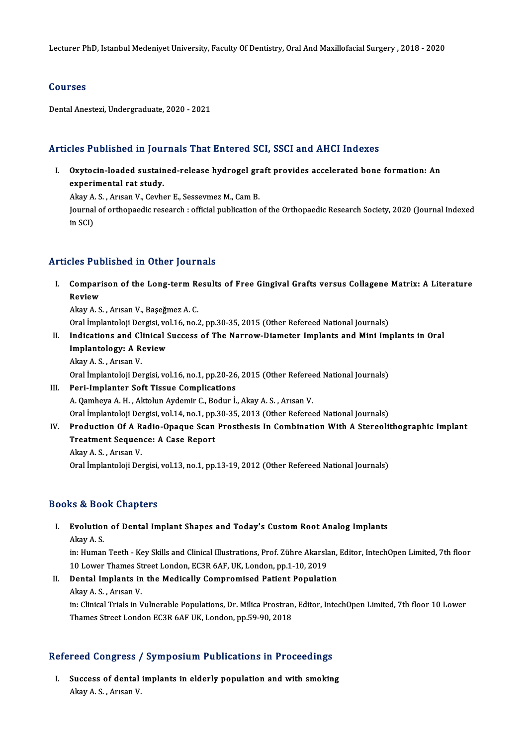Lecturer PhD, Istanbul Medeniyet University, Faculty Of Dentistry, Oral And Maxillofacial Surgery , 2018 - 2020

### Courses

DentalAnestezi,Undergraduate,2020 -2021

## Articles Published in Journals That Entered SCI, SSCI and AHCI Indexes

rticles Published in Journals That Entered SCI, SSCI and AHCI Indexes<br>I. Oxytocin-loaded sustained-release hydrogel graft provides accelerated bone formation: An<br>avnenimental nat study experimental rat study.<br>experimental rat study. Oxytocin-loaded sustained-release hydrogel grands<br>experimental rat study.<br>Akay A. S. , Arısan V., Cevher E., Sessevmez M., Cam B.<br>Journal of orthonoedia research : official publication.

experimental rat study.<br>Akay A. S. , Arısan V., Cevher E., Sessevmez M., Cam B.<br>Journal of orthopaedic research : official publication of the Orthopaedic Research Society, 2020 (Journal Indexed<br>in SCD Akay A<br>Journal<br>in SCI)

# Articles Published in Other Journals

rticles Published in Other Journals<br>I. Comparison of the Long-term Results of Free Gingival Grafts versus Collagene Matrix: A Literature<br>Review Compari<br>Review<br>Akay A.S Comparison of the Long-term Re<br>Review<br>Akay A. S. , Arısan V., Başeğmez A. C.<br>Oral İmplantaleji Dergisi vel 16. no. Review<br>Akay A. S. , Arısan V., Başeğmez A. C.<br>Oral İmplantoloji Dergisi, vol.16, no.2, pp.30-35, 2015 (Other Refereed National Journals)

Akay A. S. , Arısan V., Başeğmez A. C.<br>Oral İmplantoloji Dergisi, vol.16, no.2, pp.30-35, 2015 (Other Refereed National Journals)<br>II. Indications and Clinical Success of The Narrow-Diameter Implants and Mini Implants i Oral İmplantoloji Dergisi, vo<br>Indications and Clinical S<br>Implantology: A Review Indications and Cl<br>Implantology: A R<br>Akay A. S. , Arısan V.<br>Oral İmplantoloji De Implantology: A Review<br>Akay A. S. , Arısan V.<br>Oral İmplantoloji Dergisi, vol.16, no.1, pp.20-26, 2015 (Other Refereed National Journals)

- III. Peri-Implanter Soft Tissue Complications A.QamheyaA.H. ,AktolunAydemir C.,Bodur İ.,AkayA.S. ,ArısanV. Peri-Implanter Soft Tissue Complications<br>A. Qamheya A. H. , Aktolun Aydemir C., Bodur İ., Akay A. S. , Arısan V.<br>Oral İmplantoloji Dergisi, vol.14, no.1, pp.30-35, 2013 (Other Refereed National Journals)<br>Production Of A. B A. Qamheya A. H. , Aktolun Aydemir C., Bodur İ., Akay A. S. , Arısan V.<br>Oral İmplantoloji Dergisi, vol.14, no.1, pp.30-35, 2013 (Other Refereed National Journals)<br>IV. Production Of A Radio-Opaque Scan Prosthesis In Combina
- Oral İmplantoloji Dergisi, vol.14, no.1, pp.<br>Production Of A Radio-Opaque Scan<br>Treatment Sequence: A Case Report Production Of A R<br>Treatment Sequen<br>Akay A. S. , Arısan V.<br>Oral İmplantalaji Da Treatment Sequence: A Case Report<br>Akay A. S. , Arısan V.<br>Oral İmplantoloji Dergisi, vol.13, no.1, pp.13-19, 2012 (Other Refereed National Journals)

### Books&Book Chapters

## ooks & Book Chapters<br>I. Evolution of Dental Implant Shapes and Today's Custom Root Analog Implants<br>Altay A.S Evolution<br>Akay A. S.<br>in: Human

Akay A. S.<br>in: Human Teeth - Key Skills and Clinical Illustrations, Prof. Zühre Akarslan, Editor, IntechOpen Limited, 7th floor Akay A. S.<br>in: Human Teeth - Key Skills and Clinical Illustrations, Prof. Zühre Akarsla<br>10 Lower Thames Street London, EC3R 6AF, UK, London, pp.1-10, 2019<br>Pental Implents in the Medisslly Compremised Petient Penulatio

II. Dental Implants in the Medically Compromised Patient Population<br>Akay A. S., Arisan V. 10 Lower Thames St<br>**Dental Implants in**<br>Akay A. S. , Arısan V.<br>in: Clinical Trials in J Dental Implants in the Medically Compromised Patient Population<br>Akay A. S. , Arısan V.<br>in: Clinical Trials in Vulnerable Populations, Dr. Milica Prostran, Editor, IntechOpen Limited, 7th floor 10 Lower<br>Thames Street London

Akay A. S. , Arısan V.<br>in: Clinical Trials in Vulnerable Populations, Dr. Milica Prostran<br>Thames Street London EC3R 6AF UK, London, pp.59-90, 2018

# Inames street London EC3R 6AP UK, London, pp.59-90, 2018<br>Refereed Congress / Symposium Publications in Proceedings

efereed Congress / Symposium Publications in Proceedings<br>I. Success of dental implants in elderly population and with smoking I. Success of dental implants in elderly population and with smoking<br>Akay A.S., Arısan V.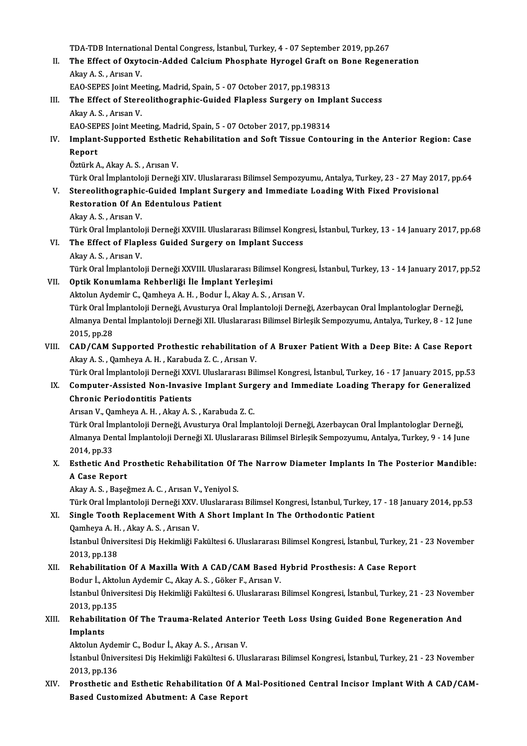TDA-TDB International Dental Congress, İstanbul, Turkey, 4 - 07 September 2019, pp.267<br>The Effect of Ouytogin, Added Colsium Phoenhate Hynogel Cuaft en Bene Begens

TDA-TDB International Dental Congress, İstanbul, Turkey, 4 - 07 September 2019, pp.267<br>II. The Effect of Oxytocin-Added Calcium Phosphate Hyrogel Graft on Bone Regeneration TDA-TDB Internation<br>The Effect of Oxyt<br>Akay A. S. , Arısan V.<br>EAO SERES Joint Mo The Effect of Oxytocin-Added Calcium Phosphate Hyrogel Graft of<br>Akay A. S., Arısan V.<br>EAO-SEPES Joint Meeting, Madrid, Spain, 5 - 07 October 2017, pp.198313<br>The Effect of Stansolithespanhie Guided Eleplese Sunsony on Jun

Akay A. S. , Arısan V.<br>EAO-SEPES Joint Meeting, Madrid, Spain, 5 - 07 October 2017, pp.198313<br>III. The Effect of Stereolithographic-Guided Flapless Surgery on Implant Success EAO-SEPES Joint Meeting, Madrid, Spain, 5 - 07 October 2017, pp.198313<br>The Effect of Stereolithographic-Guided Flapless Surgery on Imp<br>Akay A. S., Arısan V. The Effect of Stereolithographic-Guided Flapless Surgery on Imp<br>Akay A. S., Arısan V.<br>EAO-SEPES Joint Meeting, Madrid, Spain, 5 - 07 October 2017, pp.198314<br>Implant Supported Esthetic Pehabilitation and Soft Tissue Contel

Akay A. S. , Arısan V.<br>EAO-SEPES Joint Meeting, Madrid, Spain, 5 - 07 October 2017, pp.198314<br>IV. Implant-Supported Esthetic Rehabilitation and Soft Tissue Contouring in the Anterior Region: Case<br>Report EAO-SEPES Joint Meeting, Madrid, Spain, 5 - 07 October 2017, pp.198314<br>Implant-Supported Esthetic Rehabilitation and Soft Tissue Conto<br>Report<br>Öztürk A., Akay A. S. , Arısan V. I<mark>mplant-Supported Esthetic</mark><br>Report<br>Öztürk A., Akay A. S. , Arısan V.<br>Türk Oral İmplantalaji Derneği <mark>Report</mark><br>Öztürk A., Akay A. S. , Arısan V.<br>Türk Oral İmplantoloji Derneği XIV. Uluslararası Bilimsel Sempozyumu, Antalya, Turkey, 23 - 27 May 2017, pp.64<br>Stareolithesranhis Cuided Implant Surseny ond Immediate Loeding With

- V. Stereolithographic-Guided Implant Surgery and Immediate Loading With Fixed Provisional<br>Restoration Of An Edentulous Patient Türk Oral İmplantoloji Derneği XIV. Uluslar<br>Stereolithographic-Guided Implant Su<br>Restoration Of An Edentulous Patient<br>Alry A.S., Arven V. Restoration Of An Edentulous Patient<br>Akay A. S. , Arısan V.<br>Türk Oral İmplantoloji Derneği XXVIII. Uluslararası Bilimsel Kongresi, İstanbul, Turkey, 13 - 14 January 2017, pp.68<br>The Effect of Elaplese Cuided Surgery on Impl
	- AkayA.S. ,ArısanV.

## VI. The Effect of Flapless Guided Surgery on Implant Success Türk Oral İmplantolo<br>The Effect of Flapl<br>Akay A. S. , Arısan V.<br>Türk Oral İmplantolo

Türk Oral İmplantoloji Derneği XXVIII. Uluslararası Bilimsel Kongresi, İstanbul, Turkey, 13 - 14 January 2017, pp.52

### VII. Optik Konumlama Rehberliği İle İmplant Yerleşimi

AktolunAydemir C.,QamheyaA.H. ,Bodur İ.,AkayA.S. ,ArısanV. Optik Konumlama Rehberliği İle İmplant Yerleşimi<br>Aktolun Aydemir C., Qamheya A. H. , Bodur İ., Akay A. S. , Arısan V.<br>Türk Oral İmplantoloji Derneği, Avusturya Oral İmplantoloji Derneği, Azerbaycan Oral İmplantologlar Dern Almanya Dental İmplantoloji Derneği XII. Uluslararası Bilimsel Birleşik Sempozyumu, Antalya, Turkey, 8 - 12 June<br>2015, pp.28 Türk Oral İm<br>Almanya Der<br>2015, pp.28<br>CAD (CAM S Almanya Dental İmplantoloji Derneği XII. Uluslararası Bilimsel Birleşik Sempozyumu, Antalya, Turkey, 8 - 12 June<br>2015, pp.28<br>VIII. CAD/CAM Supported Prothestic rehabilitation of A Bruxer Patient With a Deep Bite: A Case Re

2015, pp.28<br>CAD/CAM Supported Prothestic rehabilitation<br>Akay A. S. , Qamheya A. H. , Karabuda Z. C. , Arısan V.<br>Türk Oral İmplantalaji Derneği YYVI. Uluslaranası Bil CAD/CAM Supported Prothestic rehabilitation of A Bruxer Patient With a Deep Bite: A Case Report<br>Akay A. S. , Qamheya A. H. , Karabuda Z. C. , Arısan V.<br>Türk Oral İmplantoloji Derneği XXVI. Uluslararası Bilimsel Kongresi, İ

## Akay A. S. , Qamheya A. H. , Karabuda Z. C. , Arısan V.<br>Türk Oral İmplantoloji Derneği XXVI. Uluslararası Bilimsel Kongresi, İstanbul, Turkey, 16 - 17 January 2015, pp.53<br>IX. Computer-Assisted Non-Invasive Implant Surgery Türk Oral İmplantoloji Derneği XXV<br>Computer-Assisted Non-Invasi<br>Chronic Periodontitis Patients<br>Arrean V. Qambaya A. H. Alray A. S Computer-Assisted Non-Invasive Implant Surg<br>Chronic Periodontitis Patients<br>Arısan V., Qamheya A. H. , Akay A. S. , Karabuda Z. C.<br>Türk Oral İmplantalaji Derneği, Arusturya Oral İmpl

<mark>Chronic Periodontitis Patients</mark><br>Arısan V., Qamheya A. H. , Akay A. S. , Karabuda Z. C.<br>Türk Oral İmplantoloji Derneği, Avusturya Oral İmplantoloji Derneği, Azerbaycan Oral İmplantologlar Derneği,<br>Almanya Dental İmplantolo Arısan V., Qamheya A. H. , Akay A. S. , Karabuda Z. C.<br>Türk Oral İmplantoloji Derneği, Avusturya Oral İmplantoloji Derneği, Azerbaycan Oral İmplantologlar Derneği,<br>Almanya Dental İmplantoloji Derneği XI. Uluslararası Bilim Türk Oral İm<br>Almanya Der<br>2014, pp.33<br>Esthetis An Almanya Dental İmplantoloji Derneği XI. Uluslararası Bilimsel Birleşik Sempozyumu, Antalya, Turkey, 9 - 14 June<br>2014, pp.33<br>X. Esthetic And Prosthetic Rehabilitation Of The Narrow Diameter Implants In The Posterior Mandibl

## 2014, pp.33<br>Esthetic And P<br>A Case Report Esthetic And Prosthetic Rehabilitation Of<br>A Case Report<br>Akay A. S. , Başeğmez A. C. , Arısan V., Yeniyol S.<br>Türk Oral İmplantalaji Dernaği YYV. Uluslarance A Case Report<br>Akay A. S. , Başeğmez A. C. , Arısan V., Yeniyol S.<br>Türk Oral İmplantoloji Derneği XXV. Uluslararası Bilimsel Kongresi, İstanbul, Turkey, 17 - 18 January 2014, pp.53

### XI. Single Tooth ReplacementWith A Short Implant In The Orthodontic Patient

Türk Oral İmplantoloji Derneği XXV.<br>Single Tooth Replacement With<br>Qamheya A. H. , Akay A. S. , Arısan V.<br>İstanbul Üniversitesi Dis Heltimliği E. İstanbul Üniversitesi Diş Hekimliği Fakültesi 6. Uluslararası Bilimsel Kongresi, İstanbul, Turkey, 21 - 23 November<br>2013, pp.138 Qamheya A. H<br>İstanbul Ünive<br>2013, pp.138<br>Behabilitatic Istanbul Üniversitesi Diş Hekimliği Fakültesi 6. Uluslararası Bilimsel Kongresi, İstanbul, Turkey, 21<br>2013, pp.138<br>XII. Rehabilitation Of A Maxilla With A CAD/CAM Based Hybrid Prosthesis: A Case Report<br>Pedur <sup>İ</sup>. Altalun A

## 2013, pp.138<br>Rehabilitation Of A Maxilla With A CAD/CAM Based I<br>Bodur İ., Aktolun Aydemir C., Akay A. S. , Göker F., Arısan V.<br>İstanbul Üniversitesi Dis Hekimliği Fekültesi 6 Uluslararası Rehabilitation Of A Maxilla With A CAD/CAM Based Hybrid Prosthesis: A Case Report<br>Bodur İ., Aktolun Aydemir C., Akay A. S. , Göker F., Arısan V.<br>İstanbul Üniversitesi Diş Hekimliği Fakültesi 6. Uluslararası Bilimsel Kongre

Bodur İ., Aktolun Aydemir C., Akay A. S. , Göker F., Arısan V.<br>İstanbul Üniversitesi Diş Hekimliği Fakültesi 6. Uluslararası Bilimsel Kongresi, İstanbul, Turkey, 21 - 23 November<br>2013, pp.135 İstanbul Üniversitesi Diş Hekimliği Fakültesi 6. Uluslararası Bilimsel Kongresi, İstanbul, Turkey, 21 - 23 Novem<br>2013, pp.135<br>XIII. Rehabilitation Of The Trauma-Related Anterior Teeth Loss Using Guided Bone Regeneration An

## 2013, pp.1<br>Rehabilit<br>Implants<br>Aktalun A Rehabilitation Of The Trauma-Related Anter<br>Implants<br>Aktolun Aydemir C., Bodur İ., Akay A. S. , Arısan V.<br>İstanbul Üniversitesi Dis Helsimliği Felsiltesi 6, Illu

I**mplants**<br>Aktolun Aydemir C., Bodur İ., Akay A. S. , Arısan V.<br>İstanbul Üniversitesi Diş Hekimliği Fakültesi 6. Uluslararası Bilimsel Kongresi, İstanbul, Turkey, 21 - 23 November Aktolun Ayder<br>İstanbul Ünive<br>2013, pp.136<br>Presthatis el Istanbul Üniversitesi Diş Hekimliği Fakültesi 6. Uluslararası Bilimsel Kongresi, İstanbul, Turkey, 21 - 23 November<br>2013, pp.136<br>XIV. Prosthetic and Esthetic Rehabilitation Of A Mal-Positioned Central Incisor Implant With

## 2013, pp.136<br>Prosthetic and Esthetic Rehabilitation Of A l<br>Based Customized Abutment: A Case Report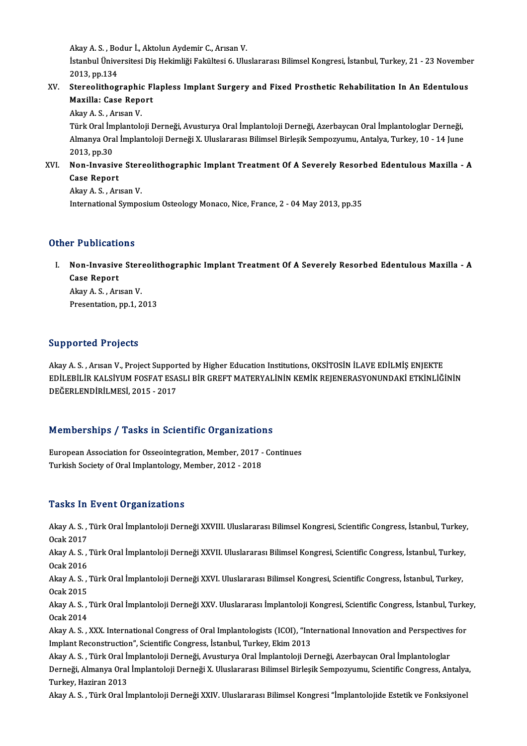Akay A. S. , Bodur İ., Aktolun Aydemir C., Arısan V.<br>İstanbul Üniversitesi Dis Helsimliği Felsiltesi 6, Illu

İstanbul Üniversitesi Diş Hekimliği Fakültesi 6. Uluslararası Bilimsel Kongresi, İstanbul, Turkey, 21 - 23 November<br>2013, pp.134 Akay A. S. , Bo<br>İstanbul Ünive<br>2013, pp.134<br>Stanoalithor Istanbul Üniversitesi Diş Hekimliği Fakültesi 6. Uluslararası Bilimsel Kongresi, İstanbul, Turkey, 21 - 23 Novembe<br>2013, pp.134<br>XV. Stereolithographic Flapless Implant Surgery and Fixed Prosthetic Rehabilitation In An Eden

2013, pp.134<br>Stereolithographic Fl<br>Maxilla: Case Report<br>Alry A.S., Arisan V Stereolithographic<br>Maxilla: Case Repo<br>Akay A. S. , Arısan V.<br>Türk Oral İmplantak

Maxilla: Case Report<br>Akay A. S. , Arısan V.<br>Türk Oral İmplantoloji Derneği, Avusturya Oral İmplantoloji Derneği, Azerbaycan Oral İmplantologlar Derneği,<br>Almanya Oral İmplantoloji Derneği, X. Uluslararası Bilimsel Birlesik Akay A. S. , Arısan V.<br>Türk Oral İmplantoloji Derneği, Avusturya Oral İmplantoloji Derneği, Azerbaycan Oral İmplantologlar Derneği,<br>Almanya Oral İmplantoloji Derneği X. Uluslararası Bilimsel Birleşik Sempozyumu, Antalya, T Türk Oral İm<br>Almanya Ora<br>2013, pp.30<br>Non-Invasi Almanya Oral İmplantoloji Derneği X. Uluslararası Bilimsel Birleşik Sempozyumu, Antalya, Turkey, 10 - 14 June<br>2013, pp.30<br>XVI. Non-Invasive Stereolithographic Implant Treatment Of A Severely Resorbed Edentulous Maxilla - A

## 2013, pp.30<br>Non-Invasive<br>Case Report **Non-Invasive Ster<br>Case Report<br>Akay A. S. , Arısan V.<br>International Sumne**

Case Report<br>Akay A. S. , Arısan V.<br>International Symposium Osteology Monaco, Nice, France, 2 - 04 May 2013, pp.35

## Other Publications

ther Publications<br>I. Non-Invasive Stereolithographic Implant Treatment Of A Severely Resorbed Edentulous Maxilla - A<br>Gees Benert Non-Invasive<br>Case Report<br>Almy A S Art **Non-Invasive Ster<br>Case Report<br>Akay A. S., Arısan V.<br>Presentation nn 1-2** Case Report<br>Akay A. S., Arısan V.<br>Presentation, pp.1, 2013

## Supported Projects

Akay A.S., Arısan V., Project Supported by Higher Education Institutions, OKSİTOSİN İLAVE EDİLMİŞ ENJEKTE ELPPOTTOL TTOJOCES<br>Akay A. S. , Arısan V., Project Supported by Higher Education Institutions, OKSİTOSİN İLAVE EDİLMİŞ ENJEKTE<br>EDİLEBİLİR KALSİYUM FOSFAT ESASLI BİR GREFT MATERYALİNİN KEMİK REJENERASYONUNDAKİ ETKİNLİĞİNİN Akay A. S. , Arısan V., Project Suppor<br>EDİLEBİLİR KALSİYUM FOSFAT ESA<br>DEĞERLENDİRİLMESİ, 2015 - 2017

# DEGERLENDIRILMESI, 2015 - 2017<br>Memberships / Tasks in Scientific Organizations

Memberships / Tasks in Scientific Organizations<br>European Association for Osseointegration, Member, 2017 - Continues<br>Turkish Sociaty of Oral Implantalegy, Member, 2012, 2018 European Association for Osseointegration, Member, 2017 - Continues<br>Turkish Society of Oral Implantology, Member, 2012 - 2018

## **Tasks In Event Organizations**

**Tasks In Event Organizations**<br>Akay A. S. , Türk Oral İmplantoloji Derneği XXVIII. Uluslararası Bilimsel Kongresi, Scientific Congress, İstanbul, Turkey, Akay A. S., '<br>Ocak 2017<br>Akay A. S. Akay A. S. , Türk Oral İmplantoloji Derneği XXVIII. Uluslararası Bilimsel Kongresi, Scientific Congress, İstanbul, Turkey<br>Ocak 2017<br>Akay A. S. , Türk Oral İmplantoloji Derneği XXVII. Uluslararası Bilimsel Kongresi, Scienti

Ocak 2017<br>Akay A. S.,<br>Ocak 2016<br>Akay A. S Akay A. S. , Türk Oral İmplantoloji Derneği XXVII. Uluslararası Bilimsel Kongresi, Scientific Congress, İstanbul, Turkey<br>Ocak 2016<br>Akay A. S. , Türk Oral İmplantoloji Derneği XXVI. Uluslararası Bilimsel Kongresi, Scientifi

Ocak 2016<br>Akay A. S. , Türk Oral İmplantoloji Derneği XXVI. Uluslararası Bilimsel Kongresi, Scientific Congress, İstanbul, Turkey,<br>Ocak 2015 Akay A. S. , Türk Oral İmplantoloji Derneği XXVI. Uluslararası Bilimsel Kongresi, Scientific Congress, İstanbul, Turkey,<br>Ocak 2015<br>Akay A. S. , Türk Oral İmplantoloji Derneği XXV. Uluslararası İmplantoloji Kongresi, Scient

Ocak 2015<br>Akay A. S.,<br>Ocak 2014 Akay A. S. , Türk Oral İmplantoloji Derneği XXV. Uluslararası İmplantoloji Kongresi, Scientific Congress, İstanbul, Turke<br>Ocak 2014<br>Akay A. S. , XXX. International Congress of Oral Implantologists (ICOI), "International In

Ocak 2014<br>Akay A. S. , XXX. International Congress of Oral Implantologists (ICOI), "International Innovation and Perspectives for<br>Implant Reconstruction", Scientific Congress, İstanbul, Turkey, Ekim 2013

Akay A.S., Türk Oral İmplantoloji Derneği, Avusturya Oral İmplantoloji Derneği, Azerbaycan Oral İmplantologlar Implant Reconstruction", Scientific Congress, İstanbul, Turkey, Ekim 2013<br>Akay A. S. , Türk Oral İmplantoloji Derneği, Avusturya Oral İmplantoloji Derneği, Azerbaycan Oral İmplantologlar<br>Derneği, Almanya Oral İmplantoloji Derneği, Almanya Oral İmplantoloji Derneği X. Uluslararası Bilimsel Birleşik Sempozyumu, Scientific Congress, Antalya<br>Turkey, Haziran 2013<br>Akay A. S. , Türk Oral İmplantoloji Derneği XXIV. Uluslararası Bilimsel Kongresi "İ

Turkey, Haziran 2013<br>Akay A. S. , Türk Oral İmplantoloji Derneği XXIV. Uluslararası Bilimsel Kongresi "İmplantolojide Estetik ve Fonksiyonel